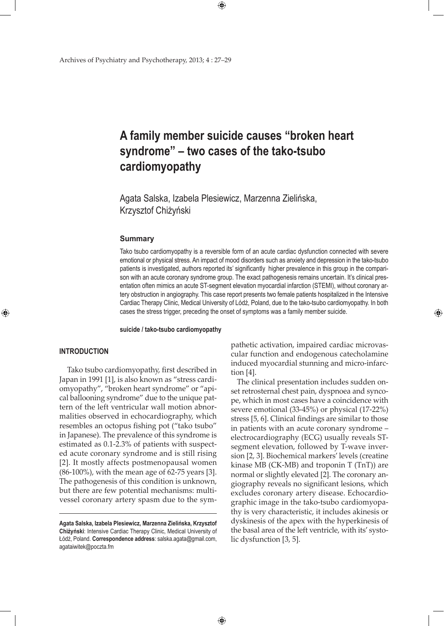Archives of Psychiatry and Psychotherapy, 2013; 4 : 27–29

# **A family member suicide causes "broken heart syndrome" – two cases of the tako-tsubo cardiomyopathy**

Agata Salska, Izabela Plesiewicz, Marzenna Zielińska, Krzysztof Chiżyński

 $\bigoplus$ 

 $\bigoplus$ 

#### **Summary**

Tako tsubo cardiomyopathy is a reversible form of an acute cardiac dysfunction connected with severe emotional or physical stress. An impact of mood disorders such as anxiety and depression in the tako-tsubo patients is investigated, authors reported its' significantly higher prevalence in this group in the comparison with an acute coronary syndrome group. The exact pathogenesis remains uncertain. It's clinical presentation often mimics an acute ST-segment elevation myocardial infarction (STEMI), without coronary artery obstruction in angiography. This case report presents two female patients hospitalized in the Intensive Cardiac Therapy Clinic, Medical University of Lódź, Poland, due to the tako-tsubo cardiomyopathy. In both cases the stress trigger, preceding the onset of symptoms was a family member suicide.

**suicide / tako-tsubo cardiomyopathy**

## **Introduction**

⊕

 Tako tsubo cardiomyopathy, first described in Japan in 1991 [1], is also known as "stress cardiomyopathy", "broken heart syndrome" or "apical ballooning syndrome" due to the unique pattern of the left ventricular wall motion abnormalities observed in echocardiography, which resembles an octopus fishing pot ("tako tsubo" in Japanese). The prevalence of this syndrome is estimated as 0.1-2.3% of patients with suspected acute coronary syndrome and is still rising [2]. It mostly affects postmenopausal women (86-100%), with the mean age of 62-75 years [3]. The pathogenesis of this condition is unknown, but there are few potential mechanisms: multivessel coronary artery spasm due to the sympathetic activation, impaired cardiac microvascular function and endogenous catecholamine induced myocardial stunning and micro-infarction [4].

⊕

The clinical presentation includes sudden onset retrosternal chest pain, dyspnoea and syncope, which in most cases have a coincidence with severe emotional (33-45%) or physical (17-22%) stress [5, 6]. Clinical findings are similar to those in patients with an acute coronary syndrome – electrocardiography (ECG) usually reveals STsegment elevation, followed by T-wave inversion [2, 3]. Biochemical markers' levels (creatine kinase MB (CK-MB) and troponin T (TnT)) are normal or slightly elevated [2]. The coronary angiography reveals no significant lesions, which excludes coronary artery disease. Echocardiographic image in the tako-tsubo cardiomyopathy is very characteristic, it includes akinesis or dyskinesis of the apex with the hyperkinesis of the basal area of the left ventricle, with its' systolic dysfunction [3, 5].

**Agata Salska, Izabela Plesiewicz, Marzenna Zielińska, Krzysztof Chiżyński**: Intensive Cardiac Therapy Clinic, Medical University of Łódź, Poland. **Correspondence address**: salska.agata@gmail.com, agataiwitek@poczta.fm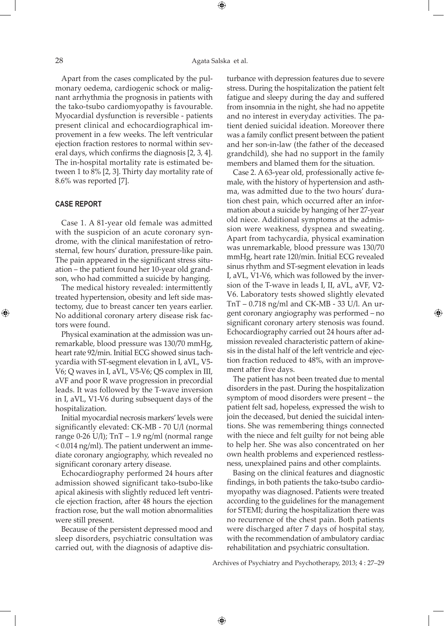⊕

Apart from the cases complicated by the pulmonary oedema, cardiogenic schock or malignant arrhythmia the prognosis in patients with the tako-tsubo cardiomyopathy is favourable. Myocardial dysfunction is reversible - patients present clinical and echocardiographical improvement in a few weeks. The left ventricular ejection fraction restores to normal within several days, which confirms the diagnosis [2, 3, 4]. The in-hospital mortality rate is estimated between 1 to 8% [2, 3]. Thirty day mortality rate of 8.6% was reported [7].

### **Case report**

⊕

Case 1. A 81-year old female was admitted with the suspicion of an acute coronary syndrome, with the clinical manifestation of retrosternal, few hours' duration, pressure-like pain. The pain appeared in the significant stress situation – the patient found her 10-year old grandson, who had committed a suicide by hanging.

The medical history revealed: intermittently treated hypertension, obesity and left side mastectomy, due to breast cancer ten years earlier. No additional coronary artery disease risk factors were found.

Physical examination at the admission was unremarkable, blood pressure was 130/70 mmHg, heart rate 92/min. Initial ECG showed sinus tachycardia with ST-segment elevation in I, aVL, V5- V6; Q waves in I, aVL, V5-V6; QS complex in III, aVF and poor R wave progression in precordial leads. It was followed by the T-wave inversion in I, aVL, V1-V6 during subsequent days of the hospitalization.

Initial myocardial necrosis markers' levels were significantly elevated: CK-MB - 70 U/l (normal range 0-26 U/l); TnT – 1.9 ng/ml (normal range < 0.014 ng/ml). The patient underwent an immediate coronary angiography, which revealed no significant coronary artery disease.

Echocardiography performed 24 hours after admission showed significant tako-tsubo-like apical akinesis with slightly reduced left ventricle ejection fraction, after 48 hours the ejection fraction rose, but the wall motion abnormalities were still present.

Because of the persistent depressed mood and sleep disorders, psychiatric consultation was carried out, with the diagnosis of adaptive disturbance with depression features due to severe stress. During the hospitalization the patient felt fatigue and sleepy during the day and suffered from insomnia in the night, she had no appetite and no interest in everyday activities. The patient denied suicidal ideation. Moreover there was a family conflict present between the patient and her son-in-law (the father of the deceased grandchild), she had no support in the family members and blamed them for the situation.

Case 2. A 63-year old, professionally active female, with the history of hypertension and asthma, was admitted due to the two hours' duration chest pain, which occurred after an information about a suicide by hanging of her 27-year old niece. Additional symptoms at the admission were weakness, dyspnea and sweating. Apart from tachycardia, physical examination was unremarkable, blood pressure was 130/70 mmHg, heart rate 120/min. Initial ECG revealed sinus rhythm and ST-segment elevation in leads I, aVL, V1-V6, which was followed by the inversion of the T-wave in leads I, II, aVL, aVF, V2- V6. Laboratory tests showed slightly elevated TnT – 0.718 ng/ml and CK-MB - 33 U/l. An urgent coronary angiography was performed – no significant coronary artery stenosis was found. Echocardiography carried out 24 hours after admission revealed characteristic pattern of akinesis in the distal half of the left ventricle and ejection fraction reduced to 48%, with an improvement after five days.

⊕

The patient has not been treated due to mental disorders in the past. During the hospitalization symptom of mood disorders were present – the patient felt sad, hopeless, expressed the wish to join the deceased, but denied the suicidal intentions. She was remembering things connected with the niece and felt guilty for not being able to help her. She was also concentrated on her own health problems and experienced restlessness, unexplained pains and other complaints.

Basing on the clinical features and diagnostic findings, in both patients the tako-tsubo cardiomyopathy was diagnosed. Patients were treated according to the guidelines for the management for STEMI; during the hospitalization there was no recurrence of the chest pain. Both patients were discharged after 7 days of hospital stay, with the recommendation of ambulatory cardiac rehabilitation and psychiatric consultation.

Archives of Psychiatry and Psychotherapy, 2013; 4 : 27–29

 $\bigoplus$